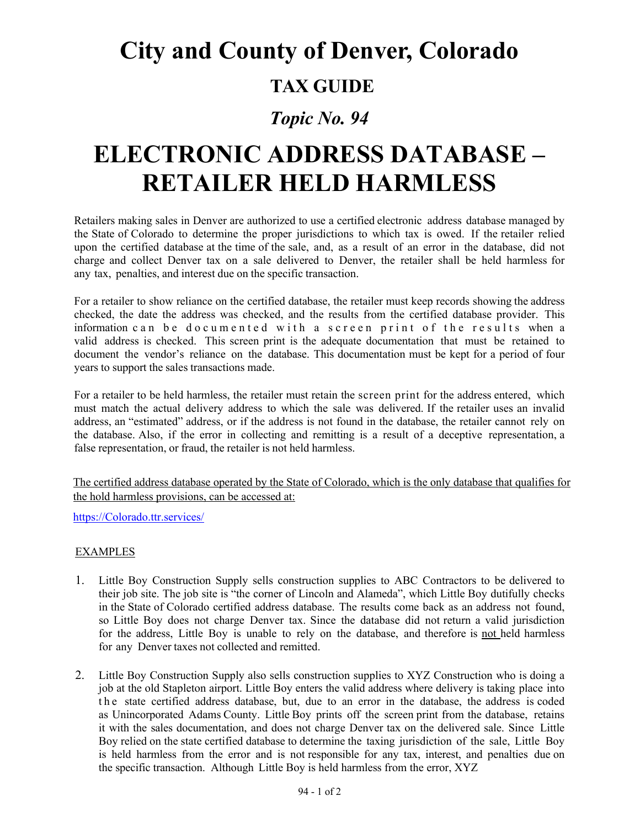## **City and County of Denver, Colorado**

### **TAX GUIDE**

### *Topic No. 94*

# **ELECTRONIC ADDRESS DATABASE – RETAILER HELD HARMLESS**

Retailers making sales in Denver are authorized to use a certified electronic address database managed by the State of Colorado to determine the proper jurisdictions to which tax is owed. If the retailer relied upon the certified database at the time of the sale, and, as a result of an error in the database, did not charge and collect Denver tax on a sale delivered to Denver, the retailer shall be held harmless for any tax, penalties, and interest due on the specific transaction.

For a retailer to show reliance on the certified database, the retailer must keep records showing the address checked, the date the address was checked, and the results from the certified database provider. This information can be documented with a scre en print of the results when a valid address is checked. This screen print is the adequate documentation that must be retained to document the vendor's reliance on the database. This documentation must be kept for a period of four years to support the sales transactions made.

For a retailer to be held harmless, the retailer must retain the screen print for the address entered, which must match the actual delivery address to which the sale was delivered. If the retailer uses an invalid address, an "estimated" address, or if the address is not found in the database, the retailer cannot rely on the database. Also, if the error in collecting and remitting is a result of a deceptive representation, a false representation, or fraud, the retailer is not held harmless.

The certified address database operated by the State of Colorado, which is the only database that qualifies for the hold harmless provisions, can be accessed at:

[https://Colorado.ttr.services/](https://colorado.ttr.services/)

#### **EXAMPLES**

- 1. Little Boy Construction Supply sells construction supplies to ABC Contractors to be delivered to their job site. The job site is "the corner of Lincoln and Alameda", which Little Boy dutifully checks in the State of Colorado certified address database. The results come back as an address not found, so Little Boy does not charge Denver tax. Since the database did not return a valid jurisdiction for the address, Little Boy is unable to rely on the database, and therefore is not held harmless for any Denver taxes not collected and remitted.
- 2. Little Boy Construction Supply also sells construction supplies to XYZ Construction who is doing a job at the old Stapleton airport. Little Boy enters the valid address where delivery is taking place into the state certified address database, but, due to an error in the database, the address is coded as Unincorporated Adams County. Little Boy prints off the screen print from the database, retains it with the sales documentation, and does not charge Denver tax on the delivered sale. Since Little Boy relied on the state certified database to determine the taxing jurisdiction of the sale, Little Boy is held harmless from the error and is not responsible for any tax, interest, and penalties due on the specific transaction. Although Little Boy is held harmless from the error, XYZ